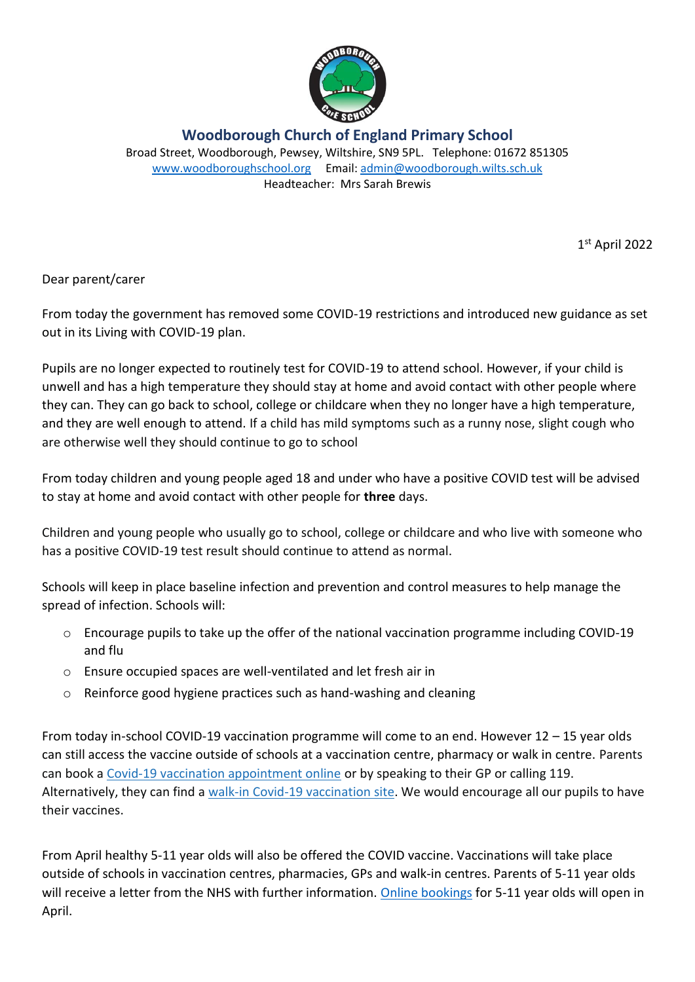

**Woodborough Church of England Primary School** Broad Street, Woodborough, Pewsey, Wiltshire, SN9 5PL. Telephone: 01672 851305 [www.woodboroughschool.org](http://www.woodboroughschool.org/) Email: [admin@woodborough.wilts.sch.uk](mailto:admin@woodborough.wilts.sch.uk) Headteacher: Mrs Sarah Brewis

1 st April 2022

Dear parent/carer

From today the government has removed some COVID-19 restrictions and introduced new guidance as set out in its Living with COVID-19 plan.

Pupils are no longer expected to routinely test for COVID-19 to attend school. However, if your child is unwell and has a high temperature they should stay at home and avoid contact with other people where they can. They can go back to school, college or childcare when they no longer have a high temperature, and they are well enough to attend. If a child has mild symptoms such as a runny nose, slight cough who are otherwise well they should continue to go to school

From today children and young people aged 18 and under who have a positive COVID test will be advised to stay at home and avoid contact with other people for **three** days.

Children and young people who usually go to school, college or childcare and who live with someone who has a positive COVID-19 test result should continue to attend as normal.

Schools will keep in place baseline infection and prevention and control measures to help manage the spread of infection. Schools will:

- o Encourage pupils to take up the offer of the national vaccination programme including COVID-19 and flu
- o Ensure occupied spaces are well-ventilated and let fresh air in
- o Reinforce good hygiene practices such as hand-washing and cleaning

From today in-school COVID-19 vaccination programme will come to an end. However 12 – 15 year olds can still access the vaccine outside of schools at a vaccination centre, pharmacy or walk in centre. Parents can book a [Covid-19 vaccination appointment online](https://eur02.safelinks.protection.outlook.com/?url=https%3A%2F%2Fwww.nhs.uk%2Fconditions%2Fcoronavirus-covid-19%2Fcoronavirus-vaccination%2Fbook-coronavirus-vaccination%2F&data=04%7C01%7CHelean.Hughes%40wiltshire.gov.uk%7Caee682e8e6954c8c828f08da13cbb44a%7C5546e75e3be14813b0ff26651ea2fe19%7C0%7C0%7C637844062859888843%7CUnknown%7CTWFpbGZsb3d8eyJWIjoiMC4wLjAwMDAiLCJQIjoiV2luMzIiLCJBTiI6Ik1haWwiLCJXVCI6Mn0%3D%7C3000&sdata=OpayeHDTgOCfm7nLUy42b3hrIWOKNsdjoJYTBV6xCe0%3D&reserved=0) or by speaking to their GP or calling 119. Alternatively, they can find a [walk-in Covid-19 vaccination site.](https://eur02.safelinks.protection.outlook.com/?url=https%3A%2F%2Fwww.nhs.uk%2Fconditions%2Fcoronavirus-covid-19%2Fcoronavirus-vaccination%2Ffind-a-walk-in-coronavirus-covid-19-vaccination-site%2F&data=04%7C01%7CHelean.Hughes%40wiltshire.gov.uk%7Caee682e8e6954c8c828f08da13cbb44a%7C5546e75e3be14813b0ff26651ea2fe19%7C0%7C0%7C637844062859888843%7CUnknown%7CTWFpbGZsb3d8eyJWIjoiMC4wLjAwMDAiLCJQIjoiV2luMzIiLCJBTiI6Ik1haWwiLCJXVCI6Mn0%3D%7C3000&sdata=JqiBf9ayNuWghrYtlLTUMFsYaWbZGVteewskjlWOXes%3D&reserved=0) We would encourage all our pupils to have their vaccines.

From April healthy 5-11 year olds will also be offered the COVID vaccine. Vaccinations will take place outside of schools in vaccination centres, pharmacies, GPs and walk-in centres. Parents of 5-11 year olds will receive a letter from the NHS with further information. [Online bookings](https://eur02.safelinks.protection.outlook.com/?url=https%3A%2F%2Fwww.nhs.uk%2Fconditions%2Fcoronavirus-covid-19%2Fcoronavirus-vaccination%2Fbook-coronavirus-vaccination%2F&data=04%7C01%7CHelean.Hughes%40wiltshire.gov.uk%7Caee682e8e6954c8c828f08da13cbb44a%7C5546e75e3be14813b0ff26651ea2fe19%7C0%7C0%7C637844062859888843%7CUnknown%7CTWFpbGZsb3d8eyJWIjoiMC4wLjAwMDAiLCJQIjoiV2luMzIiLCJBTiI6Ik1haWwiLCJXVCI6Mn0%3D%7C3000&sdata=OpayeHDTgOCfm7nLUy42b3hrIWOKNsdjoJYTBV6xCe0%3D&reserved=0) for 5-11 year olds will open in April.